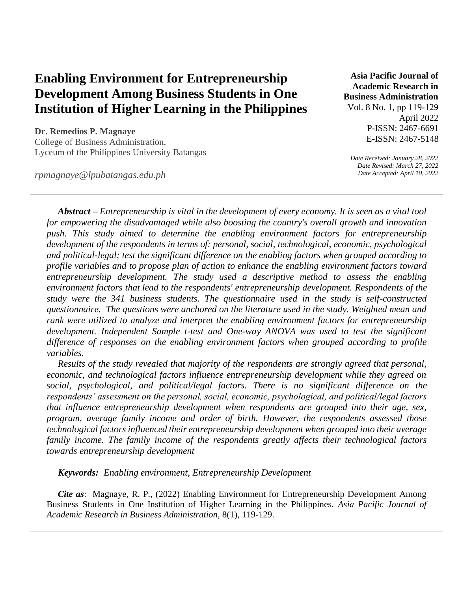# **Enabling Environment for Entrepreneurship Development Among Business Students in One Institution of Higher Learning in the Philippines**

**Dr. Remedios P. Magnaye** College of Business Administration, Lyceum of the Philippines University Batangas

*rpmagnaye@lpubatangas.edu.ph* 

**Asia Pacific Journal of Academic Research in Business Administration**  Vol. 8 No. 1, pp 119-129

April 2022 P-ISSN: 2467-6691 E-ISSN: 2467-5148

*Date Received: January 28, 2022 Date Revised: March 27, 2022 Date Accepted: April 10, 2022*

*Abstract – Entrepreneurship is vital in the development of every economy. It is seen as a vital tool for empowering the disadvantaged while also boosting the country's overall growth and innovation push. This study aimed to determine the enabling environment factors for entrepreneurship development of the respondents in terms of: personal, social, technological, economic, psychological and political-legal; test the significant difference on the enabling factors when grouped according to profile variables and to propose plan of action to enhance the enabling environment factors toward entrepreneurship development. The study used a descriptive method to assess the enabling environment factors that lead to the respondents' entrepreneurship development. Respondents of the study were the 341 business students. The questionnaire used in the study is self-constructed questionnaire. The questions were anchored on the literature used in the study. Weighted mean and rank were utilized to analyze and interpret the enabling environment factors for entrepreneurship development. Independent Sample t-test and One-way ANOVA was used to test the significant difference of responses on the enabling environment factors when grouped according to profile variables.*

*Results of the study revealed that majority of the respondents are strongly agreed that personal, economic, and technological factors influence entrepreneurship development while they agreed on social, psychological, and political/legal factors. There is no significant difference on the respondents' assessment on the personal, social, economic, psychological, and political/legal factors that influence entrepreneurship development when respondents are grouped into their age, sex, program, average family income and order of birth. However, the respondents assessed those technological factors influenced their entrepreneurship development when grouped into their average family income. The family income of the respondents greatly affects their technological factors towards entrepreneurship development*

*Keywords: Enabling environment, Entrepreneurship Development*

*Cite as*: Magnaye, R. P., (2022) Enabling Environment for Entrepreneurship Development Among Business Students in One Institution of Higher Learning in the Philippines. *Asia Pacific Journal of Academic Research in Business Administration,* 8(1), 119-129.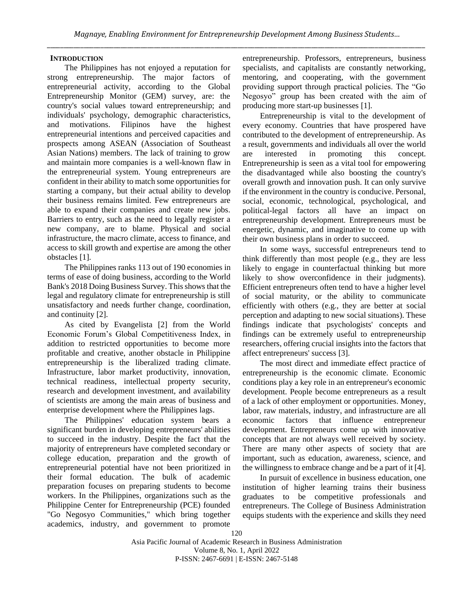## **INTRODUCTION**

The Philippines has not enjoyed a reputation for strong entrepreneurship. The major factors of entrepreneurial activity, according to the Global Entrepreneurship Monitor (GEM) survey, are: the country's social values toward entrepreneurship; and individuals' psychology, demographic characteristics, and motivations. Filipinos have the highest entrepreneurial intentions and perceived capacities and prospects among ASEAN (Association of Southeast Asian Nations) members. The lack of training to grow and maintain more companies is a well-known flaw in the entrepreneurial system. Young entrepreneurs are confident in their ability to match some opportunities for starting a company, but their actual ability to develop their business remains limited. Few entrepreneurs are able to expand their companies and create new jobs. Barriers to entry, such as the need to legally register a new company, are to blame. Physical and social infrastructure, the macro climate, access to finance, and access to skill growth and expertise are among the other obstacles [1].

The Philippines ranks 113 out of 190 economies in terms of ease of doing business, according to the World Bank's 2018 Doing Business Survey. This shows that the legal and regulatory climate for entrepreneurship is still unsatisfactory and needs further change, coordination, and continuity [2].

As cited by Evangelista [2] from the World Economic Forum's Global Competitiveness Index, in addition to restricted opportunities to become more profitable and creative, another obstacle in Philippine entrepreneurship is the liberalized trading climate. Infrastructure, labor market productivity, innovation, technical readiness, intellectual property security, research and development investment, and availability of scientists are among the main areas of business and enterprise development where the Philippines lags.

The Philippines' education system bears a significant burden in developing entrepreneurs' abilities to succeed in the industry. Despite the fact that the majority of entrepreneurs have completed secondary or college education, preparation and the growth of entrepreneurial potential have not been prioritized in their formal education. The bulk of academic preparation focuses on preparing students to become workers. In the Philippines, organizations such as the Philippine Center for Entrepreneurship (PCE) founded "Go Negosyo Communities," which bring together academics, industry, and government to promote

entrepreneurship. Professors, entrepreneurs, business specialists, and capitalists are constantly networking, mentoring, and cooperating, with the government providing support through practical policies. The "Go Negosyo" group has been created with the aim of producing more start-up businesses [1].

Entrepreneurship is vital to the development of every economy. Countries that have prospered have contributed to the development of entrepreneurship. As a result, governments and individuals all over the world are interested in promoting this concept. Entrepreneurship is seen as a vital tool for empowering the disadvantaged while also boosting the country's overall growth and innovation push. It can only survive if the environment in the country is conducive. Personal, social, economic, technological, psychological, and political-legal factors all have an impact on entrepreneurship development. Entrepreneurs must be energetic, dynamic, and imaginative to come up with their own business plans in order to succeed.

In some ways, successful entrepreneurs tend to think differently than most people (e.g., they are less likely to engage in counterfactual thinking but more likely to show overconfidence in their judgments). Efficient entrepreneurs often tend to have a higher level of social maturity, or the ability to communicate efficiently with others (e.g., they are better at social perception and adapting to new social situations). These findings indicate that psychologists' concepts and findings can be extremely useful to entrepreneurship researchers, offering crucial insights into the factors that affect entrepreneurs' success [3].

The most direct and immediate effect practice of entrepreneurship is the economic climate. Economic conditions play a key role in an entrepreneur's economic development. People become entrepreneurs as a result of a lack of other employment or opportunities. Money, labor, raw materials, industry, and infrastructure are all economic factors that influence entrepreneur development. Entrepreneurs come up with innovative concepts that are not always well received by society. There are many other aspects of society that are important, such as education, awareness, science, and the willingness to embrace change and be a part of it [4].

In pursuit of excellence in business education, one institution of higher learning trains their business graduates to be competitive professionals and entrepreneurs. The College of Business Administration equips students with the experience and skills they need

Asia Pacific Journal of Academic Research in Business Administration Volume 8, No. 1, April 2022 P-ISSN: 2467-6691 | E-ISSN: 2467-5148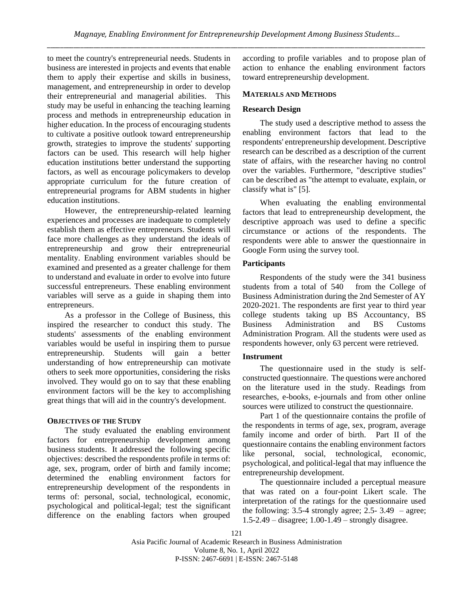to meet the country's entrepreneurial needs. Students in business are interested in projects and events that enable them to apply their expertise and skills in business, management, and entrepreneurship in order to develop their entrepreneurial and managerial abilities. This study may be useful in enhancing the teaching learning process and methods in entrepreneurship education in higher education. In the process of encouraging students to cultivate a positive outlook toward entrepreneurship growth, strategies to improve the students' supporting factors can be used. This research will help higher education institutions better understand the supporting factors, as well as encourage policymakers to develop appropriate curriculum for the future creation of entrepreneurial programs for ABM students in higher education institutions.

However, the entrepreneurship-related learning experiences and processes are inadequate to completely establish them as effective entrepreneurs. Students will face more challenges as they understand the ideals of entrepreneurship and grow their entrepreneurial mentality. Enabling environment variables should be examined and presented as a greater challenge for them to understand and evaluate in order to evolve into future successful entrepreneurs. These enabling environment variables will serve as a guide in shaping them into entrepreneurs.

As a professor in the College of Business, this inspired the researcher to conduct this study. The students' assessments of the enabling environment variables would be useful in inspiring them to pursue entrepreneurship. Students will gain a better understanding of how entrepreneurship can motivate others to seek more opportunities, considering the risks involved. They would go on to say that these enabling environment factors will be the key to accomplishing great things that will aid in the country's development.

## **OBJECTIVES OF THE STUDY**

The study evaluated the enabling environment factors for entrepreneurship development among business students. It addressed the following specific objectives: described the respondents profile in terms of: age, sex, program, order of birth and family income; determined the enabling environment factors for entrepreneurship development of the respondents in terms of: personal, social, technological, economic, psychological and political-legal; test the significant difference on the enabling factors when grouped according to profile variables and to propose plan of action to enhance the enabling environment factors toward entrepreneurship development.

# **MATERIALS AND METHODS**

# **Research Design**

The study used a descriptive method to assess the enabling environment factors that lead to the respondents' entrepreneurship development. Descriptive research can be described as a description of the current state of affairs, with the researcher having no control over the variables. Furthermore, "descriptive studies" can be described as "the attempt to evaluate, explain, or classify what is" [5].

When evaluating the enabling environmental factors that lead to entrepreneurship development, the descriptive approach was used to define a specific circumstance or actions of the respondents. The respondents were able to answer the questionnaire in Google Form using the survey tool.

## **Participants**

Respondents of the study were the 341 business students from a total of 540 from the College of Business Administration during the 2nd Semester of AY 2020-2021. The respondents are first year to third year college students taking up BS Accountancy, BS Business Administration and BS Customs Administration Program. All the students were used as respondents however, only 63 percent were retrieved.

## **Instrument**

The questionnaire used in the study is selfconstructed questionnaire. The questions were anchored on the literature used in the study. Readings from researches, e-books, e-journals and from other online sources were utilized to construct the questionnaire.

Part 1 of the questionnaire contains the profile of the respondents in terms of age, sex, program, average family income and order of birth. Part II of the questionnaire contains the enabling environment factors like personal, social, technological, economic, psychological, and political-legal that may influence the entrepreneurship development.

The questionnaire included a perceptual measure that was rated on a four-point Likert scale. The interpretation of the ratings for the questionnaire used the following: 3.5-4 strongly agree; 2.5- 3.49 – agree; 1.5-2.49 – disagree; 1.00-1.49 – strongly disagree.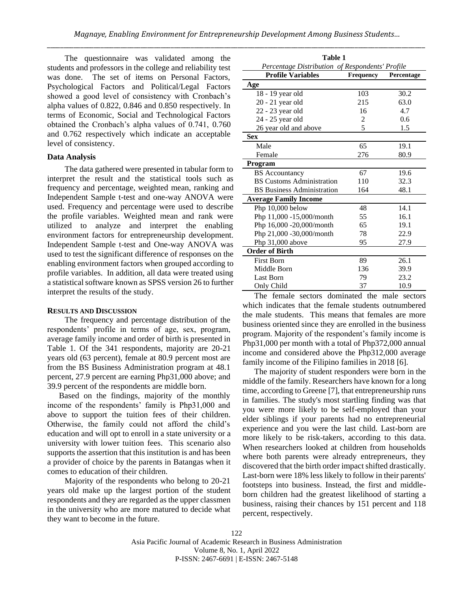#### **Data Analysis**

The data gathered were presented in tabular form to interpret the result and the statistical tools such as frequency and percentage, weighted mean, ranking and Independent Sample t-test and one-way ANOVA were used. Frequency and percentage were used to describe the profile variables. Weighted mean and rank were utilized to analyze and interpret the enabling environment factors for entrepreneurship development. Independent Sample t-test and One-way ANOVA was used to test the significant difference of responses on the enabling environment factors when grouped according to profile variables. In addition, all data were treated using a statistical software known as SPSS version 26 to further interpret the results of the study.

#### **RESULTS AND DISCUSSION**

The frequency and percentage distribution of the respondents' profile in terms of age, sex, program, average family income and order of birth is presented in Table 1. Of the 341 respondents, majority are 20-21 years old (63 percent), female at 80.9 percent most are from the BS Business Administration program at 48.1 percent, 27.9 percent are earning Php31,000 above; and 39.9 percent of the respondents are middle born.

Based on the findings, majority of the monthly income of the respondents' family is Php31,000 and above to support the tuition fees of their children. Otherwise, the family could not afford the child's education and will opt to enroll in a state university or a university with lower tuition fees. This scenario also supports the assertion that this institution is and has been a provider of choice by the parents in Batangas when it comes to education of their children.

Majority of the respondents who belong to 20-21 years old make up the largest portion of the student respondents and they are regarded as the upper classmen in the university who are more matured to decide what they want to become in the future.

|                                   |                                                                                                                                                                                                                                                                      | Percentage                                                                                                               |
|-----------------------------------|----------------------------------------------------------------------------------------------------------------------------------------------------------------------------------------------------------------------------------------------------------------------|--------------------------------------------------------------------------------------------------------------------------|
|                                   |                                                                                                                                                                                                                                                                      |                                                                                                                          |
|                                   |                                                                                                                                                                                                                                                                      | 30.2                                                                                                                     |
|                                   |                                                                                                                                                                                                                                                                      | 63.0                                                                                                                     |
|                                   |                                                                                                                                                                                                                                                                      | 4.7                                                                                                                      |
|                                   |                                                                                                                                                                                                                                                                      | 0.6                                                                                                                      |
| 26 year old and above             |                                                                                                                                                                                                                                                                      | 1.5                                                                                                                      |
|                                   |                                                                                                                                                                                                                                                                      |                                                                                                                          |
| Male                              | 65                                                                                                                                                                                                                                                                   | 19.1                                                                                                                     |
| Female                            | 276                                                                                                                                                                                                                                                                  | 80.9                                                                                                                     |
|                                   |                                                                                                                                                                                                                                                                      |                                                                                                                          |
|                                   | 67                                                                                                                                                                                                                                                                   | 19.6                                                                                                                     |
| <b>BS Customs Administration</b>  | 110                                                                                                                                                                                                                                                                  | 32.3                                                                                                                     |
| <b>BS</b> Business Administration | 164                                                                                                                                                                                                                                                                  | 48.1                                                                                                                     |
| <b>Average Family Income</b>      |                                                                                                                                                                                                                                                                      |                                                                                                                          |
| Php 10,000 below                  | 48                                                                                                                                                                                                                                                                   | 14.1                                                                                                                     |
| Php 11,000 -15,000/month          | 55                                                                                                                                                                                                                                                                   | 16.1                                                                                                                     |
| Php 16,000 -20,000/month          | 65                                                                                                                                                                                                                                                                   | 19.1                                                                                                                     |
|                                   | 78                                                                                                                                                                                                                                                                   | 22.9                                                                                                                     |
|                                   | 95                                                                                                                                                                                                                                                                   | 27.9                                                                                                                     |
| <b>Order of Birth</b>             |                                                                                                                                                                                                                                                                      |                                                                                                                          |
|                                   |                                                                                                                                                                                                                                                                      | 26.1                                                                                                                     |
|                                   |                                                                                                                                                                                                                                                                      | 39.9                                                                                                                     |
|                                   |                                                                                                                                                                                                                                                                      | 23.2                                                                                                                     |
| Only Child                        | 37                                                                                                                                                                                                                                                                   | 10.9                                                                                                                     |
|                                   | <b>Profile Variables</b><br>Age<br>18 - 19 year old<br>$20 - 21$ year old<br>22 - 23 year old<br>24 - 25 year old<br><b>Sex</b><br>Program<br><b>BS</b> Accountancy<br>Php 21,000 -30,000/month<br>Php 31,000 above<br><b>First Born</b><br>Middle Born<br>Last Born | Table 1<br>Percentage Distribution of Respondents' Profile<br>Frequency<br>103<br>215<br>16<br>2<br>5<br>89<br>136<br>79 |

The female sectors dominated the male sectors which indicates that the female students outnumbered the male students. This means that females are more business oriented since they are enrolled in the business program. Majority of the respondent's family income is Php31,000 per month with a total of Php372,000 annual income and considered above the Php312,000 average family income of the Filipino families in 2018 [6].

The majority of student responders were born in the middle of the family. Researchers have known for a long time, according to Greene [7], that entrepreneurship runs in families. The study's most startling finding was that you were more likely to be self-employed than your elder siblings if your parents had no entrepreneurial experience and you were the last child. Last-born are more likely to be risk-takers, according to this data. When researchers looked at children from households where both parents were already entrepreneurs, they discovered that the birth order impact shifted drastically. Last-born were 18% less likely to follow in their parents' footsteps into business. Instead, the first and middleborn children had the greatest likelihood of starting a business, raising their chances by 151 percent and 118 percent, respectively.

122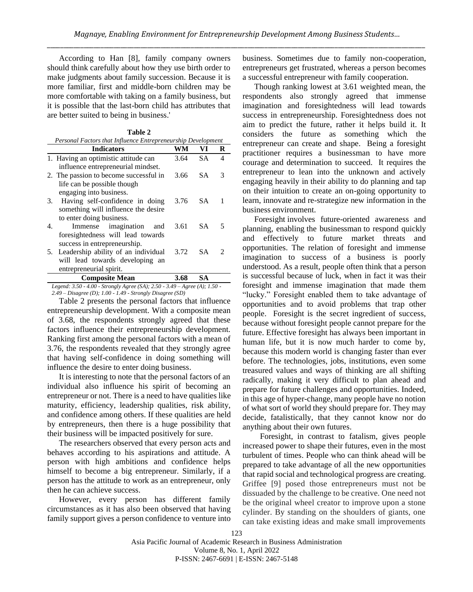According to Han [8], family company owners should think carefully about how they use birth order to make judgments about family succession. Because it is more familiar, first and middle-born children may be more comfortable with taking on a family business, but it is possible that the last-born child has attributes that are better suited to being in business.'

| Table 2                                                      |      |           |                             |  |  |  |
|--------------------------------------------------------------|------|-----------|-----------------------------|--|--|--|
| Personal Factors that Influence Entrepreneurship Development |      |           |                             |  |  |  |
| <b>Indicators</b>                                            | WМ   | VI        | R                           |  |  |  |
| 1. Having an optimistic attitude can                         | 3.64 | SА        | 4                           |  |  |  |
| influence entrepreneurial mindset.                           |      |           |                             |  |  |  |
| 2. The passion to become successful in                       | 3.66 | SA.       | 3                           |  |  |  |
| life can be possible though                                  |      |           |                             |  |  |  |
| engaging into business.                                      |      |           |                             |  |  |  |
| Having self-confidence in doing<br>3.                        | 3.76 | SA.       | 1                           |  |  |  |
| something will influence the desire                          |      |           |                             |  |  |  |
| to enter doing business.                                     |      |           |                             |  |  |  |
| Immense imagination<br>4.<br>and                             | 3.61 | SA.       | 5                           |  |  |  |
| foresightedness will lead towards                            |      |           |                             |  |  |  |
| success in entrepreneurship.                                 |      |           |                             |  |  |  |
| Leadership ability of an individual<br>5.                    | 3.72 | <b>SA</b> | $\mathcal{D}_{\mathcal{A}}$ |  |  |  |
| will lead towards developing an                              |      |           |                             |  |  |  |
| entrepreneurial spirit.                                      |      |           |                             |  |  |  |
| <b>Composite Mean</b>                                        | 3.68 | SА        |                             |  |  |  |
|                                                              |      |           |                             |  |  |  |

*Legend: 3.50 - 4.00 - Strongly Agree (SA); 2.50 - 3.49 – Agree (A); 1.50 - 2.49 – Disagree (D); 1.00 - 1.49 - Strongly Disagree (SD)*

Table 2 presents the personal factors that influence entrepreneurship development. With a composite mean of 3.68, the respondents strongly agreed that these factors influence their entrepreneurship development. Ranking first among the personal factors with a mean of 3.76, the respondents revealed that they strongly agree that having self-confidence in doing something will influence the desire to enter doing business.

It is interesting to note that the personal factors of an individual also influence his spirit of becoming an entrepreneur or not. There is a need to have qualities like maturity, efficiency, leadership qualities, risk ability, and confidence among others. If these qualities are held by entrepreneurs, then there is a huge possibility that their business will be impacted positively for sure.

The researchers observed that every person acts and behaves according to his aspirations and attitude. A person with high ambitions and confidence helps himself to become a big entrepreneur. Similarly, if a person has the attitude to work as an entrepreneur, only then he can achieve success.

However, every person has different family circumstances as it has also been observed that having family support gives a person confidence to venture into business. Sometimes due to family non-cooperation, entrepreneurs get frustrated, whereas a person becomes a successful entrepreneur with family cooperation.

Though ranking lowest at 3.61 weighted mean, the respondents also strongly agreed that immense imagination and foresightedness will lead towards success in entrepreneurship. Foresightedness does not aim to predict the future, rather it helps build it. It considers the future as something which the entrepreneur can create and shape. Being a foresight practitioner requires a businessman to have more courage and determination to succeed. It requires the entrepreneur to lean into the unknown and actively engaging heavily in their ability to do planning and tap on their intuition to create an on-going opportunity to learn, innovate and re-strategize new information in the business environment.

Foresight involves future-oriented awareness and planning, enabling the businessman to respond quickly and effectively to future market threats and opportunities. The relation of foresight and immense imagination to success of a business is poorly understood. As a result, people often think that a person is successful because of luck, when in fact it was their foresight and immense imagination that made them "lucky." Foresight enabled them to take advantage of opportunities and to avoid problems that trap other people. Foresight is the secret ingredient of success, because without foresight people cannot prepare for the future. Effective foresight has always been important in human life, but it is now much harder to come by, because this modern world is changing faster than ever before. The technologies, jobs, institutions, even some treasured values and ways of thinking are all shifting radically, making it very difficult to plan ahead and prepare for future challenges and opportunities. Indeed, in this age of hyper-change, many people have no notion of what sort of world they should prepare for. They may decide, fatalistically, that they cannot know nor do anything about their own futures.

Foresight, in contrast to fatalism, gives people increased power to shape their futures, even in the most turbulent of times. People who can think ahead will be prepared to take advantage of all the new opportunities that rapid social and technological progress are creating. Griffee [9] posed those entrepreneurs must not be dissuaded by the challenge to be creative. One need not be the original wheel creator to improve upon a stone cylinder. By standing on the shoulders of giants, one can take existing ideas and make small improvements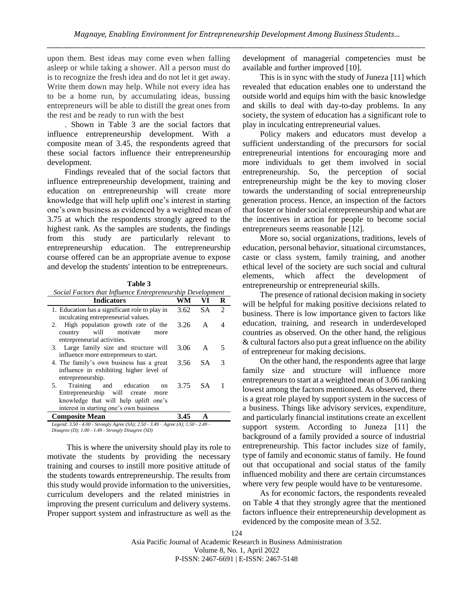upon them. Best ideas may come even when falling asleep or while taking a shower. All a person must do is to recognize the fresh idea and do not let it get away. Write them down may help. While not every idea has to be a home run, by accumulating ideas, bussing entrepreneurs will be able to distill the great ones from the rest and be ready to run with the best

. Shown in Table 3 are the social factors that influence entrepreneurship development. With a composite mean of 3.45, the respondents agreed that these social factors influence their entrepreneurship development.

Findings revealed that of the social factors that influence entrepreneurship development, training and education on entrepreneurship will create more knowledge that will help uplift one's interest in starting one's own business as evidenced by a weighted mean of 3.75 at which the respondents strongly agreed to the highest rank. As the samples are students, the findings from this study are particularly relevant to entrepreneurship education. The entrepreneurship course offered can be an appropriate avenue to expose and develop the students' intention to be entrepreneurs.

**Table 3** *Social Factors that Influence Entrepreneurship Development*

| <b>Indicators</b>                                                                                 | WM   | VI        | R              |
|---------------------------------------------------------------------------------------------------|------|-----------|----------------|
| 1. Education has a significant role to play in                                                    | 3.62 | <b>SA</b> | $\mathfrak{D}$ |
| inculcating entrepreneurial values.                                                               |      |           |                |
| 2. High population growth rate of the<br>country will motivate<br>more                            | 3.26 | A         | 4              |
| entrepreneurial activities.                                                                       |      |           |                |
| 3. Large family size and structure will                                                           | 3.06 | A         | 5              |
| influence more entrepreneurs to start.                                                            |      |           |                |
| 4. The family's own business has a great                                                          | 3.56 | SA.       | 3              |
| influence in exhibiting higher level of                                                           |      |           |                |
| entrepreneurship.                                                                                 |      |           |                |
| Training and education<br>5.<br>on                                                                | 3.75 | <b>SA</b> |                |
| Entrepreneurship will create<br>more                                                              |      |           |                |
| knowledge that will help uplift one's                                                             |      |           |                |
| interest in starting one's own business                                                           |      |           |                |
| <b>Composite Mean</b>                                                                             | 3.45 | A         |                |
| Logard: $3.50$ , $4.00$ , Strongly Agree $(SA)$ : $2.50$ , $3.40$ , Agree $(A)$ : $1.50$ , $2.40$ |      |           |                |

*Legend: 3.50 - 4.00 - Strongly Agree (SA); 2.50 - 3.49 – Agree (A); 1.50 - 2.49 – Disagree (D); 1.00 - 1.49 - Strongly Disagree (SD)*

This is where the university should play its role to motivate the students by providing the necessary training and courses to instill more positive attitude of the students towards entrepreneurship. The results from this study would provide information to the universities, curriculum developers and the related ministries in improving the present curriculum and delivery systems. Proper support system and infrastructure as well as the

development of managerial competencies must be available and further improved [10].

This is in sync with the study of Juneza [11] which revealed that education enables one to understand the outside world and equips him with the basic knowledge and skills to deal with day-to-day problems. In any society, the system of education has a significant role to play in inculcating entrepreneurial values.

Policy makers and educators must develop a sufficient understanding of the precursors for social entrepreneurial intentions for encouraging more and more individuals to get them involved in social entrepreneurship. So, the perception of social entrepreneurship might be the key to moving closer towards the understanding of social entrepreneurship generation process. Hence, an inspection of the factors that foster or hinder social entrepreneurship and what are the incentives in action for people to become social entrepreneurs seems reasonable [12].

More so, social organizations, traditions, levels of education, personal behavior, situational circumstances, caste or class system, family training, and another ethical level of the society are such social and cultural elements, which affect the development entrepreneurship or entrepreneurial skills.

The presence of rational decision making in society will be helpful for making positive decisions related to business. There is low importance given to factors like education, training, and research in underdeveloped countries as observed. On the other hand, the religious  $&$  cultural factors also put a great influence on the ability of entrepreneur for making decisions.

On the other hand, the respondents agree that large family size and structure will influence more entrepreneurs to start at a weighted mean of 3.06 ranking lowest among the factors mentioned. As observed, there is a great role played by support system in the success of a business. Things like advisory services, expenditure, and particularly financial institutions create an excellent support system. According to Juneza [11] the background of a family provided a source of industrial entrepreneurship. This factor includes size of family, type of family and economic status of family. He found out that occupational and social status of the family influenced mobility and there are certain circumstances where very few people would have to be venturesome.

As for economic factors, the respondents revealed on Table 4 that they strongly agree that the mentioned factors influence their entrepreneurship development as evidenced by the composite mean of 3.52.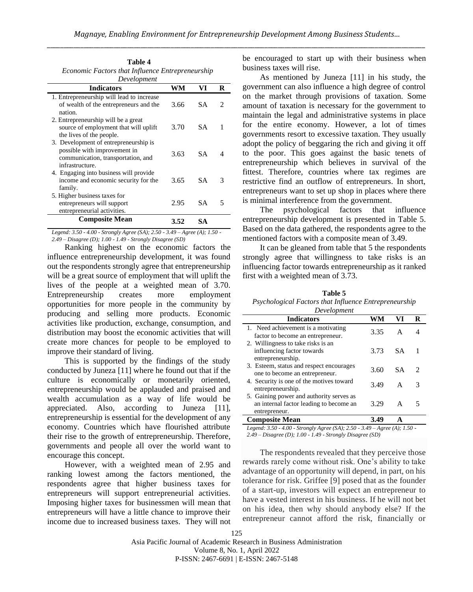| Table 4                                          |  |
|--------------------------------------------------|--|
| Economic Factors that Influence Entrepreneurship |  |
| Development                                      |  |

| <b>Indicators</b>                                                                                                              | WM   | VI        | R                           |
|--------------------------------------------------------------------------------------------------------------------------------|------|-----------|-----------------------------|
| 1. Entrepreneurship will lead to increase<br>of wealth of the entrepreneurs and the<br>nation.                                 | 3.66 | <b>SA</b> | $\mathcal{D}_{\mathcal{L}}$ |
| 2. Entrepreneurship will be a great<br>source of employment that will uplift<br>the lives of the people.                       | 3.70 | SA.       | 1                           |
| 3. Development of entrepreneurship is<br>possible with improvement in<br>communication, transportation, and<br>infrastructure. | 3.63 | SA.       |                             |
| 4. Engaging into business will provide<br>income and economic security for the<br>family.                                      | 3.65 | SА        | 3                           |
| 5. Higher business taxes for<br>entrepreneurs will support<br>entrepreneurial activities.                                      | 2.95 | SА        |                             |
| <b>Composite Mean</b>                                                                                                          | 3.52 | SА        |                             |

*Legend: 3.50 - 4.00 - Strongly Agree (SA); 2.50 - 3.49 – Agree (A); 1.50 - 2.49 – Disagree (D); 1.00 - 1.49 - Strongly Disagree (SD)*

Ranking highest on the economic factors the influence entrepreneurship development, it was found out the respondents strongly agree that entrepreneurship will be a great source of employment that will uplift the lives of the people at a weighted mean of 3.70. Entrepreneurship creates more employment opportunities for more people in the community by producing and selling more products. Economic activities like production, exchange, consumption, and distribution may boost the economic activities that will create more chances for people to be employed to improve their standard of living.

This is supported by the findings of the study conducted by Juneza [11] where he found out that if the culture is economically or monetarily oriented, entrepreneurship would be applauded and praised and wealth accumulation as a way of life would be appreciated. Also, according to Juneza [11], entrepreneurship is essential for the development of any economy. Countries which have flourished attribute their rise to the growth of entrepreneurship. Therefore, governments and people all over the world want to encourage this concept.

However, with a weighted mean of 2.95 and ranking lowest among the factors mentioned, the respondents agree that higher business taxes for entrepreneurs will support entrepreneurial activities. Imposing higher taxes for businessmen will mean that entrepreneurs will have a little chance to improve their income due to increased business taxes. They will not be encouraged to start up with their business when business taxes will rise.

As mentioned by Juneza [11] in his study, the government can also influence a high degree of control on the market through provisions of taxation. Some amount of taxation is necessary for the government to maintain the legal and administrative systems in place for the entire economy. However, a lot of times governments resort to excessive taxation. They usually adopt the policy of beggaring the rich and giving it off to the poor. This goes against the basic tenets of entrepreneurship which believes in survival of the fittest. Therefore, countries where tax regimes are restrictive find an outflow of entrepreneurs. In short, entrepreneurs want to set up shop in places where there is minimal interference from the government.

The psychological factors that influence entrepreneurship development is presented in Table 5. Based on the data gathered, the respondents agree to the mentioned factors with a composite mean of 3.49.

It can be gleaned from table that 5 the respondents strongly agree that willingness to take risks is an influencing factor towards entrepreneurship as it ranked first with a weighted mean of 3.73.

**Table 5** *Psychological Factors that Influence Entrepreneurship* 

| Development                                                                                          |      |           |   |  |  |  |
|------------------------------------------------------------------------------------------------------|------|-----------|---|--|--|--|
| <b>Indicators</b><br><b>WM</b><br>VI<br>R                                                            |      |           |   |  |  |  |
| 1. Need achievement is a motivating<br>factor to become an entrepreneur.                             | 3.35 | A         |   |  |  |  |
| 2. Willingness to take risks is an<br>influencing factor towards<br>entrepreneurship.                | 3.73 | -SA       |   |  |  |  |
| 3. Esteem, status and respect encourages<br>one to become an entrepreneur.                           | 3.60 | <b>SA</b> | 2 |  |  |  |
| 4. Security is one of the motives toward<br>entrepreneurship.                                        | 3.49 | A         | 3 |  |  |  |
| 5. Gaining power and authority serves as<br>an internal factor leading to become an<br>entrepreneur. | 3.29 | A         |   |  |  |  |
| <b>Composite Mean</b>                                                                                |      |           |   |  |  |  |

*Legend: 3.50 - 4.00 - Strongly Agree (SA); 2.50 - 3.49 – Agree (A); 1.50 - 2.49 – Disagree (D); 1.00 - 1.49 - Strongly Disagree (SD)*

The respondents revealed that they perceive those rewards rarely come without risk. One's ability to take advantage of an opportunity will depend, in part, on his tolerance for risk. Griffee [9] posed that as the founder of a start-up, investors will expect an entrepreneur to have a vested interest in his business. If he will not bet on his idea, then why should anybody else? If the entrepreneur cannot afford the risk, financially or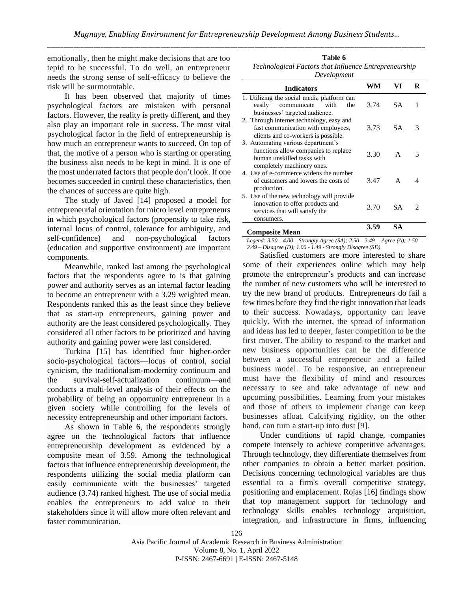emotionally, then he might make decisions that are too tepid to be successful. To do well, an entrepreneur needs the strong sense of self-efficacy to believe the risk will be surmountable.

It has been observed that majority of times psychological factors are mistaken with personal factors. However, the reality is pretty different, and they also play an important role in success. The most vital psychological factor in the field of entrepreneurship is how much an entrepreneur wants to succeed. On top of that, the motive of a person who is starting or operating the business also needs to be kept in mind. It is one of the most underrated factors that people don't look. If one becomes succeeded in control these characteristics, then the chances of success are quite high.

The study of Javed [14] proposed a model for entrepreneurial orientation for micro level entrepreneurs in which psychological factors (propensity to take risk, internal locus of control, tolerance for ambiguity, and self-confidence) and non-psychological factors (education and supportive environment) are important components.

Meanwhile, ranked last among the psychological factors that the respondents agree to is that gaining power and authority serves as an internal factor leading to become an entrepreneur with a 3.29 weighted mean. Respondents ranked this as the least since they believe that as start-up entrepreneurs, gaining power and authority are the least considered psychologically. They considered all other factors to be prioritized and having authority and gaining power were last considered.

Turkina [15] has identified four higher-order socio-psychological factors—locus of control, social cynicism, the traditionalism-modernity continuum and the survival-self-actualization continuum—and conducts a multi-level analysis of their effects on the probability of being an opportunity entrepreneur in a given society while controlling for the levels of necessity entrepreneurship and other important factors.

As shown in Table 6, the respondents strongly agree on the technological factors that influence entrepreneurship development as evidenced by a composite mean of 3.59. Among the technological factors that influence entrepreneurship development, the respondents utilizing the social media platform can easily communicate with the businesses' targeted audience (3.74) ranked highest. The use of social media enables the entrepreneurs to add value to their stakeholders since it will allow more often relevant and faster communication.

| Table 6                                               |
|-------------------------------------------------------|
| Technological Factors that Influence Entrepreneurship |
| Development                                           |

| <b>Indicators</b>                                                                                                                      | WМ   | VI  | R |
|----------------------------------------------------------------------------------------------------------------------------------------|------|-----|---|
| 1. Utilizing the social media platform can<br>communicate with<br>easily<br>the<br>businesses' targeted audience.                      | 3.74 | SA. | 1 |
| 2. Through internet technology, easy and<br>fast communication with employees,<br>clients and co-workers is possible.                  | 3.73 | SА  | 3 |
| 3. Automating various department's<br>functions allow companies to replace<br>human unskilled tasks with<br>completely machinery ones. | 3.30 | A   | 5 |
| 4. Use of e-commerce widens the number<br>of customers and lowers the costs of<br>production.                                          | 3.47 | A   |   |
| 5. Use of the new technology will provide<br>innovation to offer products and<br>services that will satisfy the<br>consumers.          | 3.70 | SА  |   |
| $\cdots$                                                                                                                               | 3.59 | SА  |   |

#### **Composite Mean**

*Legend: 3.50 - 4.00 - Strongly Agree (SA); 2.50 - 3.49 – Agree (A); 1.50 - 2.49 – Disagree (D); 1.00 - 1.49 - Strongly Disagree (SD)*

Satisfied customers are more interested to share some of their experiences online which may help promote the entrepreneur's products and can increase the number of new customers who will be interested to try the new brand of products. Entrepreneurs do fail a few times before they find the right innovation that leads to their success. Nowadays, opportunity can leave quickly. With the internet, the spread of information and ideas has led to deeper, faster competition to be the first mover. The ability to respond to the market and new business opportunities can be the difference between a successful entrepreneur and a failed business model. To be responsive, an entrepreneur must have the flexibility of mind and resources necessary to see and take advantage of new and upcoming possibilities. Learning from your mistakes and those of others to implement change can keep businesses afloat. Calcifying rigidity, on the other hand, can turn a start-up into dust [9].

Under conditions of rapid change, companies compete intensely to achieve competitive advantages. Through technology, they differentiate themselves from other companies to obtain a better market position. Decisions concerning technological variables are thus essential to a firm's overall competitive strategy, positioning and emplacement. Rojas [16] findings show that top management support for technology and technology skills enables technology acquisition, integration, and infrastructure in firms, influencing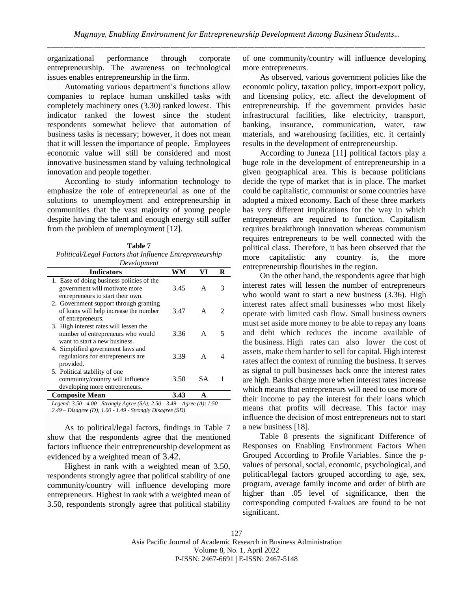organizational performance through corporate entrepreneurship. The awareness on technological issues enables entrepreneurship in the firm.

Automating various department's functions allow companies to replace human unskilled tasks with completely machinery ones (3.30) ranked lowest. This indicator ranked the lowest since the student respondents somewhat believe that automation of business tasks is necessary; however, it does not mean that it will lessen the importance of people. Employees economic value will still be considered and most innovative businessmen stand by valuing technological innovation and people together.

According to study information technology to emphasize the role of entrepreneurial as one of the solutions to unemployment and entrepreneurship in communities that the vast majority of young people despite having the talent and enough energy still suffer from the problem of unemployment [12].

**Table 7** *Political/Legal Factors that Influence Entrepreneurship Development*

| Development<br><b>Indicators</b><br>VI<br>WМ                                                                    |      |           |   |  |  |  |  |  |
|-----------------------------------------------------------------------------------------------------------------|------|-----------|---|--|--|--|--|--|
| 1. Ease of doing business policies of the<br>government will motivate more<br>entrepreneurs to start their own. | 3.45 | A         | 3 |  |  |  |  |  |
| 2. Government support through granting<br>of loans will help increase the number<br>of entrepreneurs.           | 3.47 | A         | 2 |  |  |  |  |  |
| 3. High interest rates will lessen the<br>number of entrepreneurs who would<br>want to start a new business.    | 3.36 | A         | 5 |  |  |  |  |  |
| 4. Simplified government laws and<br>regulations for entrepreneurs are<br>provided.                             | 3.39 | A         |   |  |  |  |  |  |
| 5. Political stability of one<br>community/country will influence<br>developing more entrepreneurs.             | 3.50 | <b>SA</b> |   |  |  |  |  |  |
| 3.43<br><b>Composite Mean</b><br>A                                                                              |      |           |   |  |  |  |  |  |

*Legend: 3.50 - 4.00 - Strongly Agree (SA); 2.50 - 3.49 – Agree (A); 1.50 - 2.49 – Disagree (D); 1.00 - 1.49 - Strongly Disagree (SD)*

As to political/legal factors, findings in Table 7 show that the respondents agree that the mentioned factors influence their entrepreneurship development as evidenced by a weighted mean of 3.42.

Highest in rank with a weighted mean of 3.50, respondents strongly agree that political stability of one community/country will influence developing more entrepreneurs. Highest in rank with a weighted mean of 3.50, respondents strongly agree that political stability

of one community/country will influence developing more entrepreneurs.

As observed, various government policies like the economic policy, taxation policy, import-export policy, and licensing policy, etc. affect the development of entrepreneurship. If the government provides basic infrastructural facilities, like electricity, transport, banking, insurance, communication, water, raw materials, and warehousing facilities, etc. it certainly results in the development of entrepreneurship.

According to Juneza [11] political factors play a huge role in the development of entrepreneurship in a given geographical area. This is because politicians decide the type of market that is in place. The market could be capitalistic, communist or some countries have adopted a mixed economy. Each of these three markets has very different implications for the way in which entrepreneurs are required to function. Capitalism requires breakthrough innovation whereas communism requires entrepreneurs to be well connected with the political class. Therefore, it has been observed that the more capitalistic any country is, the more entrepreneurship flourishes in the region.

On the other hand, the respondents agree that high interest rates will lessen the number of entrepreneurs who would want to start a new business (3.36). High interest rates affect small businesses who most likely operate with limited cash flow. Small business owners must set aside more money to be able to repay any loans and debt which reduces the income available of the business. High rates can also lower the cost of assets, make them harder to sell for capital. High interest rates affect the context of running the business. It serves as signal to pull businesses back once the interest rates are high. Banks charge more when interest rates increase which means that entrepreneurs will need to use more of their income to pay the interest for their loans which means that profits will decrease. This factor may influence the decision of most entrepreneurs not to start a new business [18].

Table 8 presents the significant Difference of Responses on Enabling Environment Factors When Grouped According to Profile Variables. Since the pvalues of personal, social, economic, psychological, and political/legal factors grouped according to age, sex, program, average family income and order of birth are higher than .05 level of significance, then the corresponding computed f-values are found to be not significant.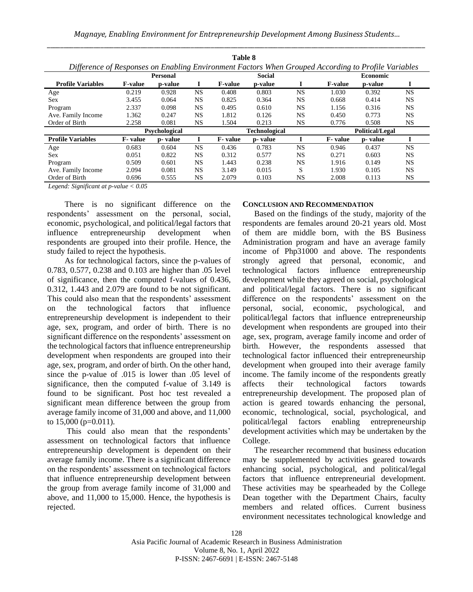*Magnaye, Enabling Environment for Entrepreneurship Development Among Business Students…* \_\_\_\_\_\_\_\_\_\_\_\_\_\_\_\_\_\_\_\_\_\_\_\_\_\_\_\_\_\_\_\_\_\_\_\_\_\_\_\_\_\_\_\_\_\_\_\_\_\_\_\_\_\_\_\_\_\_\_\_\_\_\_\_\_\_\_\_\_\_\_\_\_\_\_\_\_\_\_\_\_\_\_\_\_\_\_\_\_\_\_\_\_\_\_\_\_\_\_\_\_\_\_\_\_\_\_\_\_\_\_\_\_

| Table 8                                                                                             |                |         |           |                |                      |           |                |                        |           |
|-----------------------------------------------------------------------------------------------------|----------------|---------|-----------|----------------|----------------------|-----------|----------------|------------------------|-----------|
| Difference of Responses on Enabling Environment Factors When Grouped According to Profile Variables |                |         |           |                |                      |           |                |                        |           |
|                                                                                                     | Personal       |         |           | <b>Social</b>  |                      |           | Economic       |                        |           |
| <b>Profile Variables</b>                                                                            | <b>F-value</b> | p-value |           | <b>F-value</b> | p-value              |           | <b>F-value</b> | p-value                |           |
| Age                                                                                                 | 0.219          | 0.928   | <b>NS</b> | 0.408          | 0.803                | <b>NS</b> | 1.030          | 0.392                  | NS.       |
| Sex                                                                                                 | 3.455          | 0.064   | NS        | 0.825          | 0.364                | <b>NS</b> | 0.668          | 0.414                  | <b>NS</b> |
| Program                                                                                             | 2.337          | 0.098   | <b>NS</b> | 0.495          | 0.610                | <b>NS</b> | 1.156          | 0.316                  | <b>NS</b> |
| Ave. Family Income                                                                                  | 1.362          | 0.247   | <b>NS</b> | 1.812          | 0.126                | <b>NS</b> | 0.450          | 0.773                  | <b>NS</b> |
| Order of Birth                                                                                      | 2.258          | 0.081   | <b>NS</b> | 1.504          | 0.213                | <b>NS</b> | 0.776          | 0.508                  | NS.       |
| <b>Psychological</b>                                                                                |                |         |           |                | <b>Technological</b> |           |                | <b>Political/Legal</b> |           |
| <b>Profile Variables</b>                                                                            | F-value        | p-value | I         | F-value        | p-value              |           | F-value        | p-value                |           |
| Age                                                                                                 | 0.683          | 0.604   | <b>NS</b> | 0.436          | 0.783                | <b>NS</b> | 0.946          | 0.437                  | <b>NS</b> |
| Sex                                                                                                 | 0.051          | 0.822   | <b>NS</b> | 0.312          | 0.577                | <b>NS</b> | 0.271          | 0.603                  | <b>NS</b> |
| Program                                                                                             | 0.509          | 0.601   | <b>NS</b> | 1.443          | 0.238                | <b>NS</b> | 1.916          | 0.149                  | <b>NS</b> |
| Ave. Family Income                                                                                  | 2.094          | 0.081   | NS        | 3.149          | 0.015                | S         | 1.930          | 0.105                  | <b>NS</b> |
| Order of Birth                                                                                      | 0.696          | 0.555   | <b>NS</b> | 2.079          | 0.103                | <b>NS</b> | 2.008          | 0.113                  | <b>NS</b> |

*Legend: Significant at p-value < 0.05*

There is no significant difference on the respondents' assessment on the personal, social, economic, psychological, and political/legal factors that influence entrepreneurship development when respondents are grouped into their profile. Hence, the study failed to reject the hypothesis.

As for technological factors, since the p-values of 0.783, 0.577, 0.238 and 0.103 are higher than .05 level of significance, then the computed f-values of 0.436, 0.312, 1.443 and 2.079 are found to be not significant. This could also mean that the respondents' assessment on the technological factors that influence entrepreneurship development is independent to their age, sex, program, and order of birth. There is no significant difference on the respondents' assessment on the technological factors that influence entrepreneurship development when respondents are grouped into their age, sex, program, and order of birth. On the other hand, since the p-value of .015 is lower than .05 level of significance, then the computed f-value of 3.149 is found to be significant. Post hoc test revealed a significant mean difference between the group from average family income of 31,000 and above, and 11,000 to  $15,000$  (p=0.011).

This could also mean that the respondents' assessment on technological factors that influence entrepreneurship development is dependent on their average family income. There is a significant difference on the respondents' assessment on technological factors that influence entrepreneurship development between the group from average family income of 31,000 and above, and 11,000 to 15,000. Hence, the hypothesis is rejected.

## **CONCLUSION AND RECOMMENDATION**

Based on the findings of the study, majority of the respondents are females around 20-21 years old. Most of them are middle born, with the BS Business Administration program and have an average family income of Php31000 and above. The respondents strongly agreed that personal, economic, and technological factors influence entrepreneurship development while they agreed on social, psychological and political/legal factors. There is no significant difference on the respondents' assessment on the personal, social, economic, psychological, and political/legal factors that influence entrepreneurship development when respondents are grouped into their age, sex, program, average family income and order of birth. However, the respondents assessed that technological factor influenced their entrepreneurship development when grouped into their average family income. The family income of the respondents greatly affects their technological factors towards entrepreneurship development. The proposed plan of action is geared towards enhancing the personal, economic, technological, social, psychological, and political/legal factors enabling entrepreneurship development activities which may be undertaken by the College.

The researcher recommend that business education may be supplemented by activities geared towards enhancing social, psychological, and political/legal factors that influence entrepreneurial development. These activities may be spearheaded by the College Dean together with the Department Chairs, faculty members and related offices. Current business environment necessitates technological knowledge and